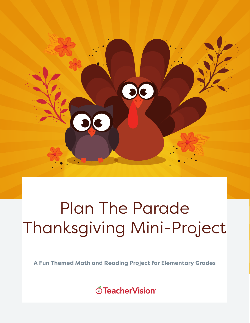

# Plan The Parade Thanksgiving Mini-Project

**A Fun Themed Math and Reading Project for Elementary Grades**

்TeacherVision®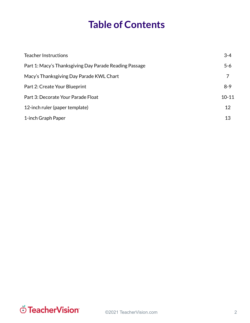# **Table of Contents**

| <b>Teacher Instructions</b>                            | $3 - 4$   |
|--------------------------------------------------------|-----------|
| Part 1: Macy's Thanksgiving Day Parade Reading Passage | $5 - 6$   |
| Macy's Thanksgiving Day Parade KWL Chart               | 7         |
| Part 2: Create Your Blueprint                          | $8-9$     |
| Part 3: Decorate Your Parade Float                     | $10 - 11$ |
| 12-inch ruler (paper template)                         | 12        |
| 1-inch Graph Paper                                     | 13        |

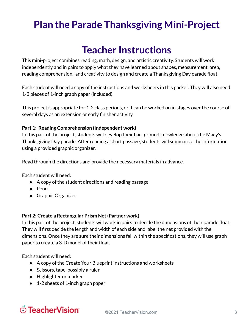# **Plan the Parade Thanksgiving Mini-Project**

# **Teacher Instructions**

This mini-project combines reading, math, design, and artistic creativity. Students will work independently and in pairs to apply what they have learned about shapes, measurement, area, reading comprehension, and creativity to design and create a Thanksgiving Day parade float.

Each student will need a copy of the instructions and worksheets in this packet. They will also need 1-2 pieces of 1-inch graph paper (included).

This project is appropriate for 1-2 class periods, or it can be worked on in stages over the course of several days as an extension or early finisher activity.

#### **Part 1: Reading Comprehension (Independent work)**

In this part of the project, students will develop their background knowledge about the Macy's Thanksgiving Day parade. After reading a short passage, students will summarize the information using a provided graphic organizer.

Read through the directions and provide the necessary materials in advance.

Each student will need:

- A copy of the student directions and reading passage
- Pencil
- Graphic Organizer

#### **Part 2: Create a Rectangular Prism Net(Partner work)**

In this part of the project, students will work in pairs to decide the dimensions of their parade float. They will first decide the length and width of each side and label the net provided with the dimensions. Once they are sure their dimensions fall within the specifications, they will use graph paper to create a 3-D model of their float.

Each student will need:

- A copy of the Create Your Blueprint instructions and worksheets
- Scissors, tape, possibly a ruler
- Highlighter or marker
- 1-2 sheets of 1-inch graph paper

# ് TeacherVision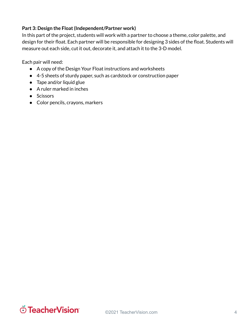#### **Part 3: Design the Float(Independent/Partner work)**

In this part of the project, students will work with a partner to choose a theme, color palette, and design for their float. Each partner will be responsible for designing 3 sides of the float. Students will measure out each side, cut it out, decorate it, and attach it to the 3-D model.

Each pair will need:

- A copy of the Design Your Float instructions and worksheets
- 4-5 sheets of sturdy paper, such as cardstock or construction paper
- Tape and/or liquid glue
- A ruler marked in inches
- Scissors
- Color pencils, crayons, markers

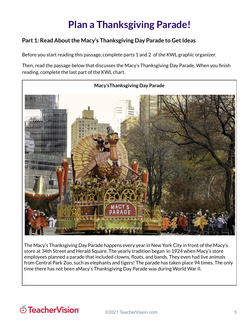# **Plan a Thanksgiving Parade!**

#### **Part 1:** Read About the Macy's Thanksgiving Day Parade to Get Ideas

Before you start reading this passage, complete parts 1 and 2 of the KWL graphic organizer.

Then, read the passage below that discusses the Macy's Thanksgiving Day Parade. When you finish reading, complete the last part of the KWL chart.



The Macy's Thanksgiving Day Parade happens every year in New York City in front of the Macy's store at 34th Street and Herald Square. The yearly tradition began in 1924 when Macy's store employees planned a parade that included clowns, floats, and bands. They even had live animals from Central Park Zoo, such as elephants and tigers! The parade has taken place 94 times. The only time there has not been aMacy's Thanksgiving Day Parade was during World War II.

### O TeacherVision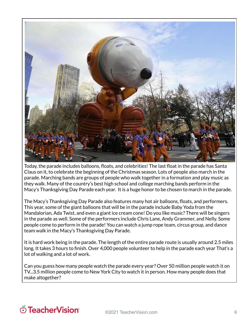

Today, the parade includes balloons, floats, and celebrities! The last float in the parade has Santa Claus on it, to celebrate the beginning of the Christmas season. Lots of people also march in the parade. Marching bands are groups of people who walk together in a formation and play music as they walk. Many of the country's best high school and college marching bands perform in the Macy's Thanksgiving Day Parade each year. It is a huge honor to be chosen to march in the parade.

The Macy's Thanksgiving Day Parade also features many hot air balloons, floats, and performers. This year, some of the giant balloons that will be in the parade include Baby Yoda from the Mandalorian, Ada Twist, and even a giant ice cream cone! Do you like music? There will be singers in the parade as well. Some of the performers include Chris Lane, Andy Grammer, and Nelly. Some people come to perform in the parade! You can watch a jump rope team, circus group, and dance team walk in the Macy's Thanksgiving Day Parade.

It is hard work being in the parade. The length of the entire parade route is usually around 2.5 miles long. It takes 3 hours to finish. Over 4,000 people volunteer to help in the parade each year That's a lot of walking and a lot of work.

Can you guess how many people watch the parade every year? Over 50 million people watch it on TV...3.5 million people come to New York City to watch it in person. How many people does that make altogether?

# O TeacherVision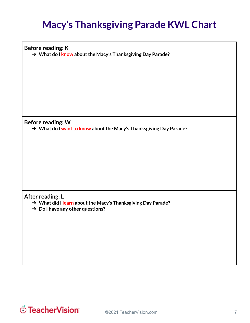# **Macy's Thanksgiving Parade KWL Chart**

**Before reading: K** ➔ **What do I know aboutthe Macy's Thanksgiving Day Parade?**

**Before reading: W**

➔ **What do I wantto know aboutthe Macy's Thanksgiving Day Parade?**

**After reading: L**

- ➔ **What did I learn aboutthe Macy's Thanksgiving Day Parade?**
- ➔ **Do I have any other questions?**

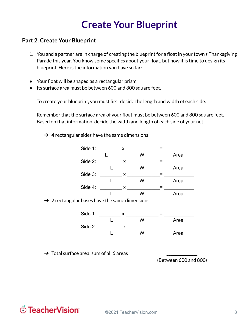### **Create Your Blueprint**

#### **Part 2: Create Your Blueprint**

- 1. You and a partner are in charge of creating the blueprint for a float in your town's Thanksgiving Parade this year. You know some specifics about your float, but now it is time to design its blueprint. Here is the information you have so far:
- Your float will be shaped as a rectangular prism.
- Its surface area must be between 600 and 800 square feet.

To create your blueprint, you must first decide the length and width of each side.

Remember that the surface area of your float must be between 600 and 800 square feet. Based on that information, decide the width and length of each side of your net.

 $\rightarrow$  4 rectangular sides have the same dimensions





 $\rightarrow$  Total surface area: sum of all 6 areas

(Between 600 and 800)

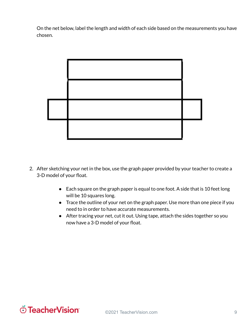On the net below, label the length and width of each side based on the measurements you have chosen.



- 2. After sketching your net in the box, use the graph paper provided by your teacher to create a 3-D model of your float.
	- Each square on the graph paper is equal to one foot. A side that is 10 feet long will be 10 squares long.
	- Trace the outline of your net on the graph paper. Use more than one piece if you need to in order to have accurate measurements.
	- After tracing your net, cut it out. Using tape, attach the sides together so you now have a 3-D model of your float.

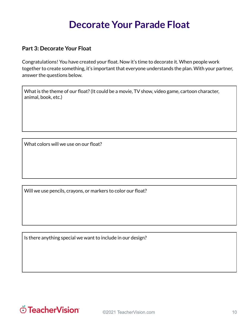### **Decorate Your Parade Float**

#### **Part 3: Decorate Your Float**

Congratulations! You have created your float. Now it's time to decorate it. When people work together to create something, it's important that everyone understands the plan. With your partner, answer the questions below.

What is the theme of our float?(It could be a movie, TV show, video game, cartoon character, animal, book, etc.)

What colors will we use on our float?

Will we use pencils, crayons, or markers to color our float?

Is there anything special we want to include in our design?

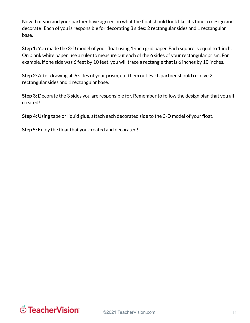Now that you and your partner have agreed on what the float should look like, it's time to design and decorate! Each of you is responsible for decorating 3 sides: 2 rectangular sides and 1 rectangular base.

**Step 1:** You made the 3-D model of your float using 1-inch grid paper. Each square is equal to 1 inch. On blank white paper, use a ruler to measure out each of the 6 sides of your rectangular prism. For example, if one side was 6 feet by 10 feet, you will trace a rectangle that is 6 inches by 10 inches.

**Step 2:** After drawing all 6 sides of your prism, cut them out. Each partner should receive 2 rectangular sides and 1 rectangular base.

**Step 3:** Decorate the 3 sides you are responsible for. Remember to follow the design plan that you all created!

**Step 4:** Using tape or liquid glue, attach each decorated side to the 3-D model of your float.

**Step 5:** Enjoy the float that you created and decorated!